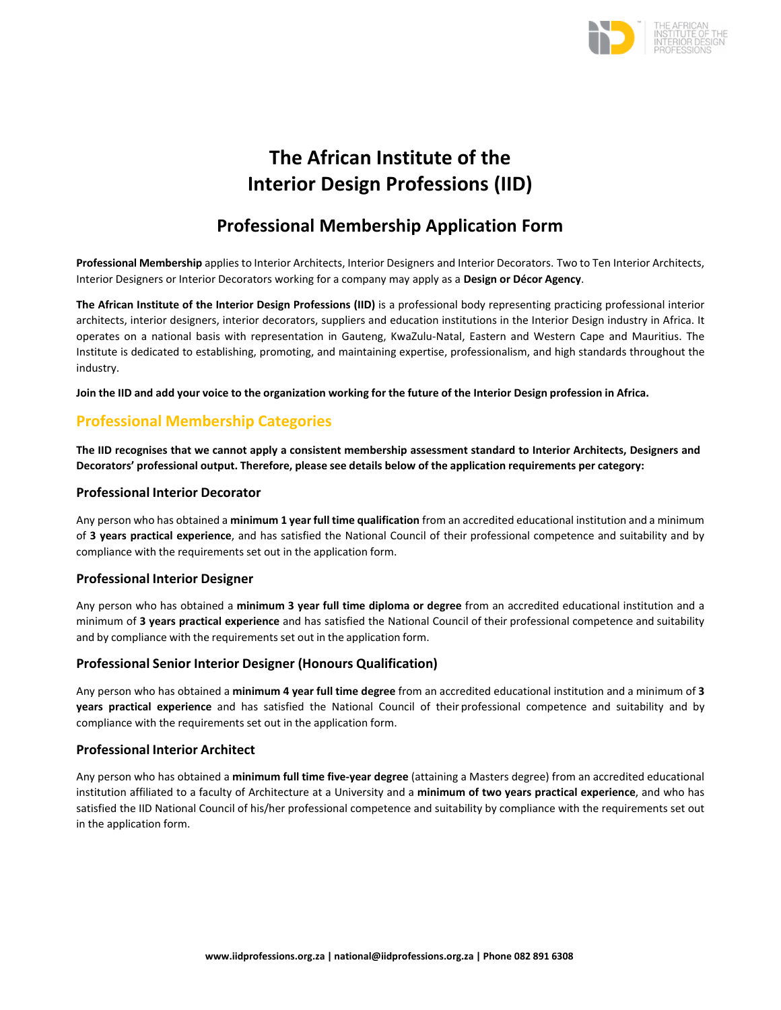

# **The African Institute of the Interior Design Professions (IID)**

# **Professional Membership Application Form**

**Professional Membership** applies to Interior Architects, Interior Designers and Interior Decorators. Two to Ten Interior Architects, Interior Designers or Interior Decorators working for a company may apply as a **Design or Décor Agency**.

**The African Institute of the Interior Design Professions (IID)** is a professional body representing practicing professional interior architects, interior designers, interior decorators, suppliers and education institutions in the Interior Design industry in Africa. It operates on a national basis with representation in Gauteng, KwaZulu‐Natal, Eastern and Western Cape and Mauritius. The Institute is dedicated to establishing, promoting, and maintaining expertise, professionalism, and high standards throughout the industry.

Join the IID and add your voice to the organization working for the future of the Interior Design profession in Africa.

# **Professional Membership Categories**

The IID recognises that we cannot apply a consistent membership assessment standard to Interior Architects, Designers and **Decorators' professional output. Therefore, please see details below of the application requirements per category:**

#### **Professional Interior Decorator**

Any person who has obtained a **minimum 1 year full time qualification** from an accredited educational institution and a minimum of **3 years practical experience**, and has satisfied the National Council of their professional competence and suitability and by compliance with the requirements set out in the application form.

## **Professional Interior Designer**

Any person who has obtained a **minimum 3 year full time diploma or degree** from an accredited educational institution and a minimum of **3 years practical experience** and has satisfied the National Council of their professional competence and suitability and by compliance with the requirements set out in the application form.

## **Professional Senior Interior Designer (Honours Qualification)**

Any person who has obtained a **minimum 4 year full time degree** from an accredited educational institution and a minimum of **3 years practical experience** and has satisfied the National Council of their professional competence and suitability and by compliance with the requirements set out in the application form.

#### **Professional Interior Architect**

Any person who has obtained a **minimum full time five‐year degree** (attaining a Masters degree) from an accredited educational institution affiliated to a faculty of Architecture at a University and a **minimum of two years practical experience**, and who has satisfied the IID National Council of his/her professional competence and suitability by compliance with the requirements set out in the application form.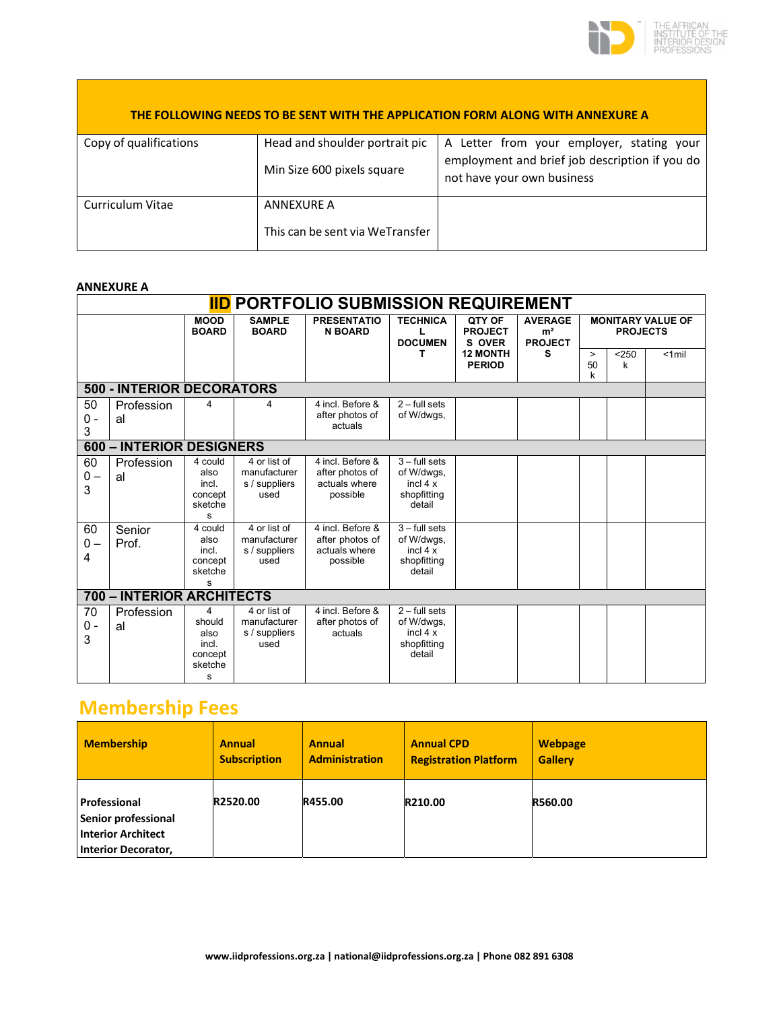

|                        |                                                              | THE FOLLOWING NEEDS TO BE SENT WITH THE APPLICATION FORM ALONG WITH ANNEXURE A                                            |
|------------------------|--------------------------------------------------------------|---------------------------------------------------------------------------------------------------------------------------|
| Copy of qualifications | Head and shoulder portrait pic<br>Min Size 600 pixels square | A Letter from your employer, stating your<br>employment and brief job description if you do<br>not have your own business |
| Curriculum Vitae       | ANNEXURE A<br>This can be sent via WeTransfer                |                                                                                                                           |

#### **ANNEXURE A**

|                  | <b>IID</b> PORTFOLIO SUBMISSION REQUIREMENT |                                                         |                                                       |                                                                  |                                                                     |                                    |                                                    |                   |                 |                          |
|------------------|---------------------------------------------|---------------------------------------------------------|-------------------------------------------------------|------------------------------------------------------------------|---------------------------------------------------------------------|------------------------------------|----------------------------------------------------|-------------------|-----------------|--------------------------|
|                  |                                             | <b>MOOD</b><br><b>BOARD</b>                             | <b>SAMPLE</b><br><b>BOARD</b>                         | <b>PRESENTATIO</b><br><b>N BOARD</b>                             | <b>TECHNICA</b><br>L<br><b>DOCUMEN</b>                              | QTY OF<br><b>PROJECT</b><br>S OVER | <b>AVERAGE</b><br>m <sup>2</sup><br><b>PROJECT</b> |                   | <b>PROJECTS</b> | <b>MONITARY VALUE OF</b> |
|                  |                                             |                                                         |                                                       |                                                                  | т                                                                   | <b>12 MONTH</b><br><b>PERIOD</b>   | s                                                  | $\geq$<br>50<br>k | < 250<br>k      | $< 1$ mil                |
|                  | <b>500 - INTERIOR DECORATORS</b>            |                                                         |                                                       |                                                                  |                                                                     |                                    |                                                    |                   |                 |                          |
| 50<br>$0 -$<br>3 | Profession<br>al                            |                                                         | 4                                                     | 4 incl. Before &<br>after photos of<br>actuals                   | $2 - full sets$<br>of W/dwgs,                                       |                                    |                                                    |                   |                 |                          |
|                  | 600 - INTERIOR DESIGNERS                    |                                                         |                                                       |                                                                  |                                                                     |                                    |                                                    |                   |                 |                          |
| 60<br>$0 -$<br>3 | Profession<br>al                            | 4 could<br>also<br>incl.<br>concept<br>sketche<br>s     | 4 or list of<br>manufacturer<br>s / suppliers<br>used | 4 incl. Before &<br>after photos of<br>actuals where<br>possible | $3 -$ full sets<br>of W/dwgs,<br>incl $4x$<br>shopfitting<br>detail |                                    |                                                    |                   |                 |                          |
| 60<br>$0 -$<br>4 | Senior<br>Prof.                             | 4 could<br>also<br>incl.<br>concept<br>sketche<br>s     | 4 or list of<br>manufacturer<br>s / suppliers<br>used | 4 incl. Before &<br>after photos of<br>actuals where<br>possible | $3 -$ full sets<br>of W/dwgs,<br>incl $4x$<br>shopfitting<br>detail |                                    |                                                    |                   |                 |                          |
|                  | 700 - INTERIOR ARCHITECTS                   |                                                         |                                                       |                                                                  |                                                                     |                                    |                                                    |                   |                 |                          |
| 70<br>$0 -$<br>3 | Profession<br>al                            | 4<br>should<br>also<br>incl.<br>concept<br>sketche<br>s | 4 or list of<br>manufacturer<br>s / suppliers<br>used | 4 incl. Before &<br>after photos of<br>actuals                   | $2 - full sets$<br>of W/dwgs,<br>incl $4x$<br>shopfitting<br>detail |                                    |                                                    |                   |                 |                          |

# **Membership Fees**

| <b>Membership</b>                                                                       | <b>Annual</b>       | <b>Annual</b>         | <b>Annual CPD</b>            | <b>Webpage</b> |
|-----------------------------------------------------------------------------------------|---------------------|-----------------------|------------------------------|----------------|
|                                                                                         | <b>Subscription</b> | <b>Administration</b> | <b>Registration Platform</b> | <b>Gallery</b> |
| Professional<br>Senior professional<br><b>Interior Architect</b><br>Interior Decorator, | R2520.00            | R455.00               | R210.00                      | <b>R560.00</b> |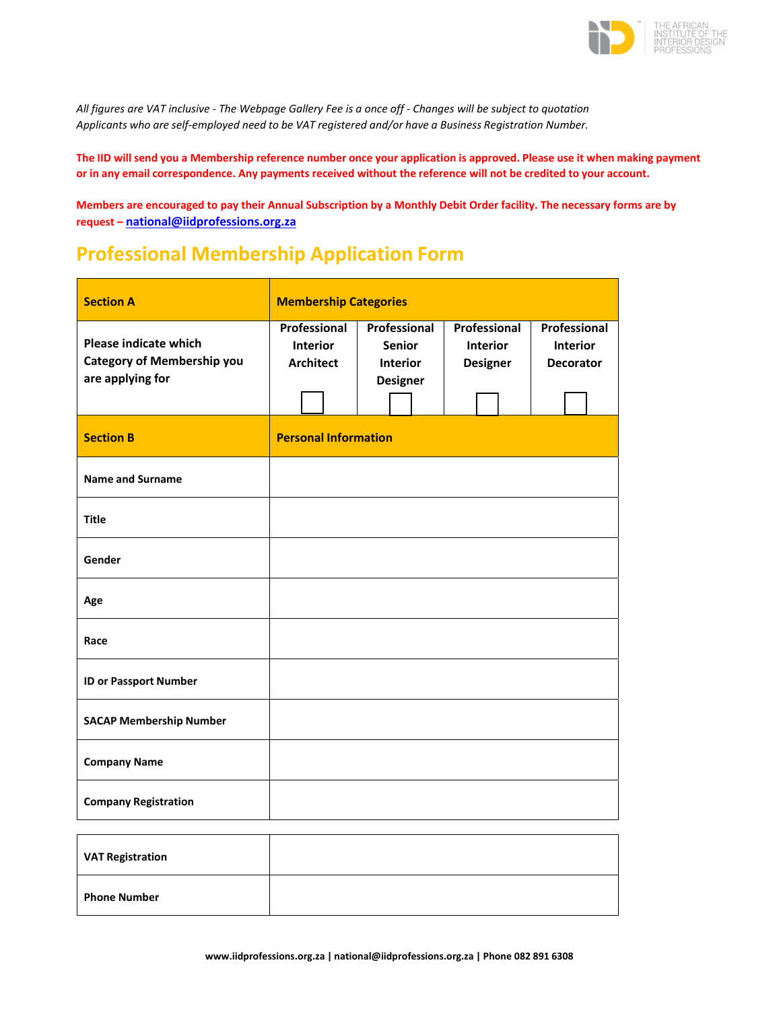

All figures are VAT inclusive - The Webpage Gallery Fee is a once off - Changes will be subject to quotation *Applicants who are self‐employed need to be VAT registered and/or have a Business Registration Number.*

The IID will send you a Membership reference number once your application is approved. Please use it when making payment or in any email correspondence. Any payments received without the reference will not be credited to your account.

Members are encouraged to pay their Annual Subscription by a Monthly Debit Order facility. The necessary forms are by **request – national@iidprofessions.org.za**

# **Professional Membership Application Form**

| <b>Section A</b>                                                                      | <b>Membership Categories</b>                        |                             |                                                                     |  |                                                    |  |                                                     |  |  |
|---------------------------------------------------------------------------------------|-----------------------------------------------------|-----------------------------|---------------------------------------------------------------------|--|----------------------------------------------------|--|-----------------------------------------------------|--|--|
| <b>Please indicate which</b><br><b>Category of Membership you</b><br>are applying for | Professional<br><b>Interior</b><br><b>Architect</b> |                             | Professional<br><b>Senior</b><br><b>Interior</b><br><b>Designer</b> |  | Professional<br><b>Interior</b><br><b>Designer</b> |  | Professional<br><b>Interior</b><br><b>Decorator</b> |  |  |
| <b>Section B</b>                                                                      |                                                     | <b>Personal Information</b> |                                                                     |  |                                                    |  |                                                     |  |  |
| <b>Name and Surname</b>                                                               |                                                     |                             |                                                                     |  |                                                    |  |                                                     |  |  |
| <b>Title</b>                                                                          |                                                     |                             |                                                                     |  |                                                    |  |                                                     |  |  |
| Gender                                                                                |                                                     |                             |                                                                     |  |                                                    |  |                                                     |  |  |
| Age                                                                                   |                                                     |                             |                                                                     |  |                                                    |  |                                                     |  |  |
| Race                                                                                  |                                                     |                             |                                                                     |  |                                                    |  |                                                     |  |  |
| <b>ID or Passport Number</b>                                                          |                                                     |                             |                                                                     |  |                                                    |  |                                                     |  |  |
| <b>SACAP Membership Number</b>                                                        |                                                     |                             |                                                                     |  |                                                    |  |                                                     |  |  |
| <b>Company Name</b>                                                                   |                                                     |                             |                                                                     |  |                                                    |  |                                                     |  |  |
| <b>Company Registration</b>                                                           |                                                     |                             |                                                                     |  |                                                    |  |                                                     |  |  |

| <b>VAT Registration</b> |  |
|-------------------------|--|
| <b>Phone Number</b>     |  |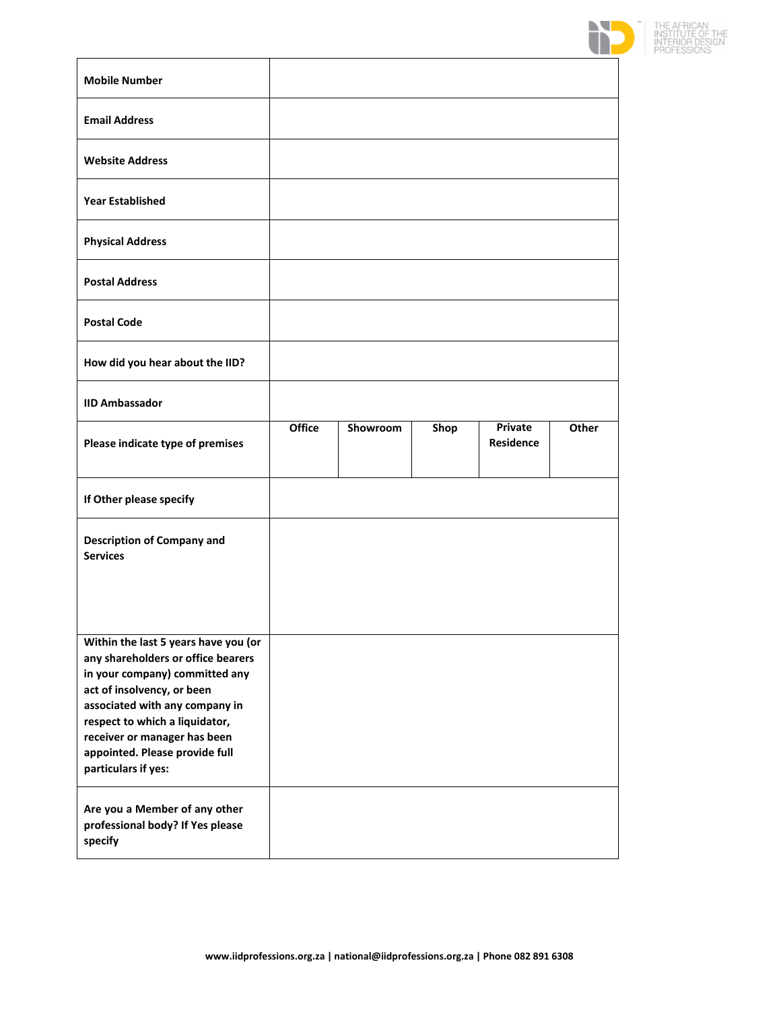

| <b>Mobile Number</b>                                                                                                                                                                                                                                                                                    |        |          |      |                             |       |
|---------------------------------------------------------------------------------------------------------------------------------------------------------------------------------------------------------------------------------------------------------------------------------------------------------|--------|----------|------|-----------------------------|-------|
| <b>Email Address</b>                                                                                                                                                                                                                                                                                    |        |          |      |                             |       |
| <b>Website Address</b>                                                                                                                                                                                                                                                                                  |        |          |      |                             |       |
| <b>Year Established</b>                                                                                                                                                                                                                                                                                 |        |          |      |                             |       |
| <b>Physical Address</b>                                                                                                                                                                                                                                                                                 |        |          |      |                             |       |
| <b>Postal Address</b>                                                                                                                                                                                                                                                                                   |        |          |      |                             |       |
| <b>Postal Code</b>                                                                                                                                                                                                                                                                                      |        |          |      |                             |       |
| How did you hear about the IID?                                                                                                                                                                                                                                                                         |        |          |      |                             |       |
| <b>IID Ambassador</b>                                                                                                                                                                                                                                                                                   |        |          |      |                             |       |
| Please indicate type of premises                                                                                                                                                                                                                                                                        | Office | Showroom | Shop | <b>Private</b><br>Residence | Other |
| If Other please specify                                                                                                                                                                                                                                                                                 |        |          |      |                             |       |
| <b>Description of Company and</b><br><b>Services</b>                                                                                                                                                                                                                                                    |        |          |      |                             |       |
| Within the last 5 years have you (or<br>any shareholders or office bearers<br>in your company) committed any<br>act of insolvency, or been<br>associated with any company in<br>respect to which a liquidator,<br>receiver or manager has been<br>appointed. Please provide full<br>particulars if yes: |        |          |      |                             |       |
| Are you a Member of any other<br>professional body? If Yes please<br>specify                                                                                                                                                                                                                            |        |          |      |                             |       |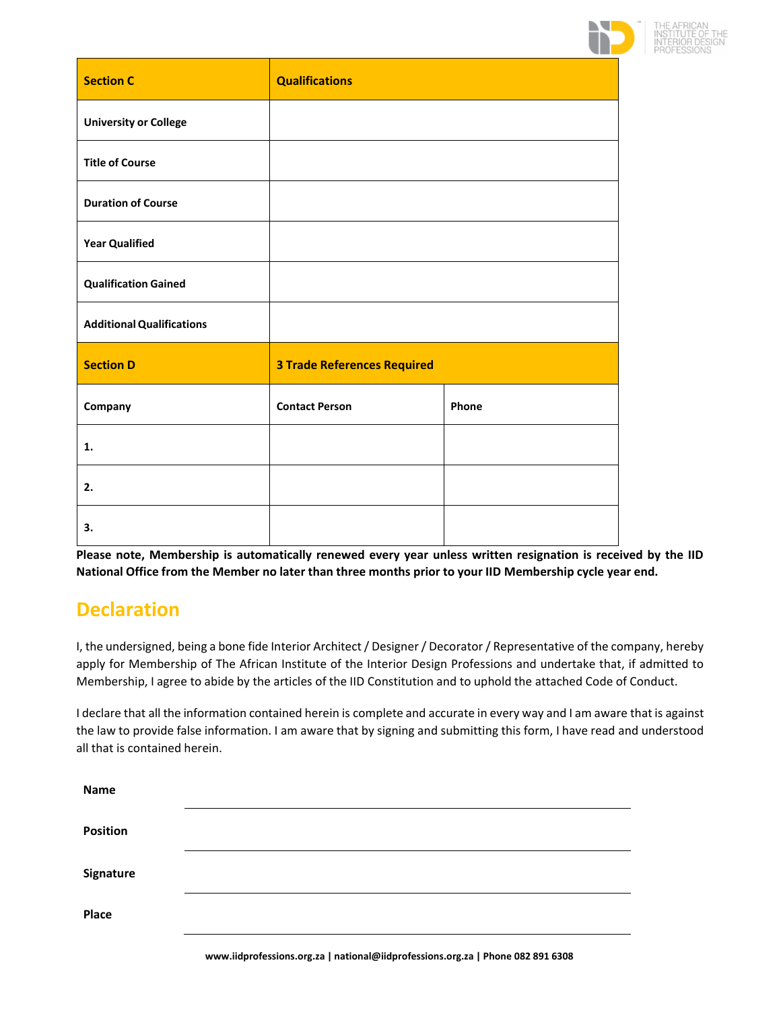

| <b>Section C</b>                 | <b>Qualifications</b>              |       |
|----------------------------------|------------------------------------|-------|
| <b>University or College</b>     |                                    |       |
| <b>Title of Course</b>           |                                    |       |
| <b>Duration of Course</b>        |                                    |       |
| <b>Year Qualified</b>            |                                    |       |
| <b>Qualification Gained</b>      |                                    |       |
| <b>Additional Qualifications</b> |                                    |       |
| <b>Section D</b>                 | <b>3 Trade References Required</b> |       |
| Company                          | <b>Contact Person</b>              | Phone |
| 1.                               |                                    |       |
| 2.                               |                                    |       |
| 3.                               |                                    |       |

**Please note, Membership is automatically renewed every year unless written resignation is received by the IID** National Office from the Member no later than three months prior to your IID Membership cycle year end.

# **Declaration**

I, the undersigned, being a bone fide Interior Architect/ Designer/ Decorator/ Representative of the company, hereby apply for Membership of The African Institute of the Interior Design Professions and undertake that, if admitted to Membership, I agree to abide by the articles of the IID Constitution and to uphold the attached Code of Conduct.

I declare that all the information contained herein is complete and accurate in every way and I am aware that is against the law to provide false information. I am aware that by signing and submitting this form, I have read and understood all that is contained herein.

| <b>Name</b> |  |
|-------------|--|
| Position    |  |
| Signature   |  |
| Place       |  |
|             |  |

**www.iidprofessions.org.za | national@iidprofessions.org.za | Phone 082 891 6308**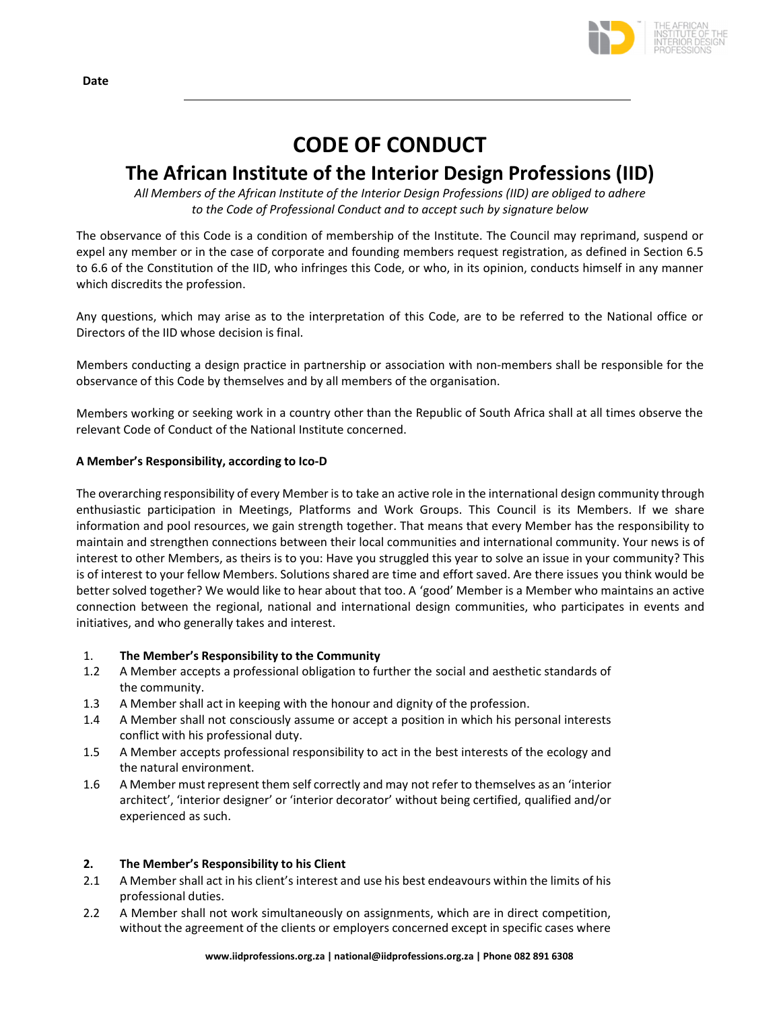

# **CODE OF CONDUCT**

# **The African Institute of the Interior Design Professions (IID)**

*All Members of the African Institute of the Interior Design Professions (IID) are obliged to adhere to the Code of Professional Conduct and to accept such by signature below*

The observance of this Code is a condition of membership of the Institute. The Council may reprimand, suspend or expel any member or in the case of corporate and founding members request registration, as defined in Section 6.5 to 6.6 of the Constitution of the IID, who infringes this Code, or who, in its opinion, conducts himself in any manner which discredits the profession.

Any questions, which may arise as to the interpretation of this Code, are to be referred to the National office or Directors of the IID whose decision is final.

Members conducting a design practice in partnership or association with non-members shall be responsible for the observance of this Code by themselves and by all members of the organisation.

Members working or seeking work in a country other than the Republic of South Africa shall at all times observe the relevant Code of Conduct of the National Institute concerned.

## **A Member's Responsibility, according to Ico‐D**

The overarching responsibility of every Memberis to take an active role in the international design community through enthusiastic participation in Meetings, Platforms and Work Groups. This Council is its Members. If we share information and pool resources, we gain strength together. That means that every Member has the responsibility to maintain and strengthen connections between their local communities and international community. Your news is of interest to other Members, as theirs is to you: Have you struggled this year to solve an issue in your community? This is of interest to your fellow Members. Solutions shared are time and effort saved. Are there issues you think would be better solved together? We would like to hear about that too. A 'good' Member is a Member who maintains an active connection between the regional, national and international design communities, who participates in events and initiatives, and who generally takes and interest.

## 1. **The Member's Responsibility to the Community**

- 1.2 A Member accepts a professional obligation to further the social and aesthetic standards of the community.
- 1.3 A Member shall act in keeping with the honour and dignity of the profession.
- 1.4 A Member shall not consciously assume or accept a position in which his personal interests conflict with his professional duty.
- 1.5 A Member accepts professional responsibility to act in the best interests of the ecology and the natural environment.
- 1.6 A Member must represent them self correctly and may not refer to themselves as an 'interior architect', 'interior designer' or 'interior decorator' without being certified, qualified and/or experienced as such.

## **2. The Member's Responsibility to his Client**

- 2.1 A Member shall act in his client's interest and use his best endeavours within the limits of his professional duties.
- 2.2 A Member shall not work simultaneously on assignments, which are in direct competition, without the agreement of the clients or employers concerned except in specific cases where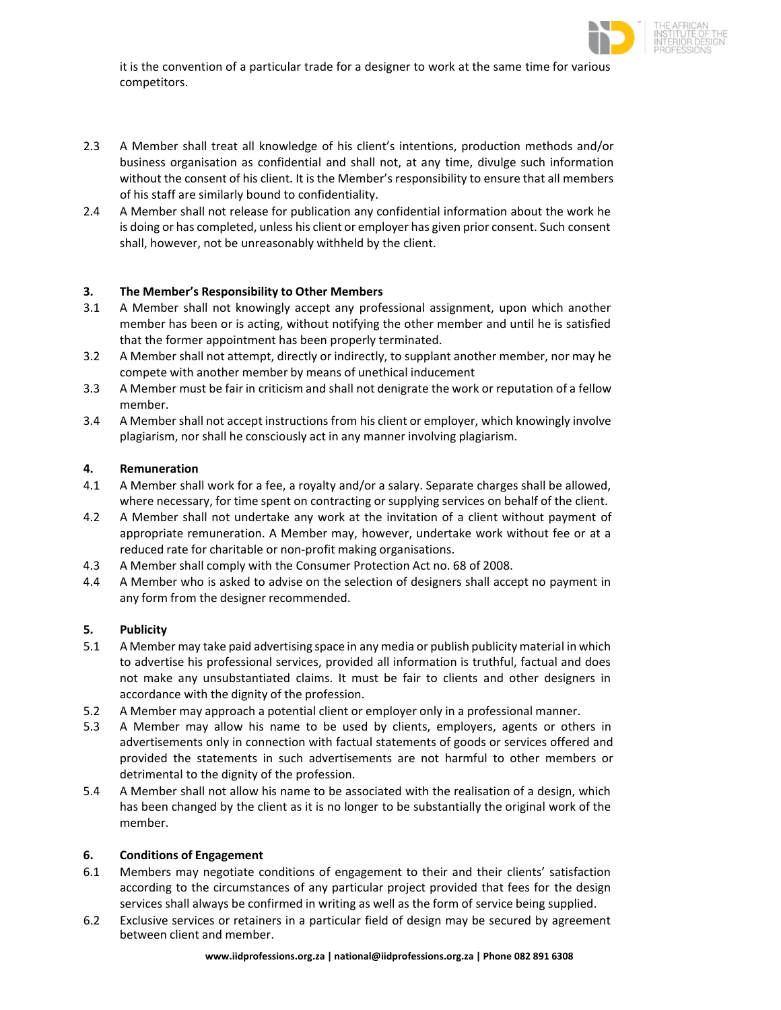

it is the convention of a particular trade for a designer to work at the same time for various competitors.

- 2.3 A Member shall treat all knowledge of his client's intentions, production methods and/or business organisation as confidential and shall not, at any time, divulge such information without the consent of his client. It is the Member's responsibility to ensure that all members of his staff are similarly bound to confidentiality.
- 2.4 A Member shall not release for publication any confidential information about the work he is doing or has completed, unless his client or employer has given prior consent. Such consent shall, however, not be unreasonably withheld by the client.

#### **3. The Member's Responsibility to Other Members**

- 3.1 A Member shall not knowingly accept any professional assignment, upon which another member has been or is acting, without notifying the other member and until he is satisfied that the former appointment has been properly terminated.
- 3.2 A Member shall not attempt, directly or indirectly, to supplant another member, nor may he compete with another member by means of unethical inducement
- 3.3 A Member must be fair in criticism and shall not denigrate the work or reputation of a fellow member.
- 3.4 A Member shall not accept instructions from his client or employer, which knowingly involve plagiarism, nor shall he consciously act in any manner involving plagiarism.

#### **4. Remuneration**

- 4.1 A Member shall work for a fee, a royalty and/or a salary. Separate charges shall be allowed, where necessary, for time spent on contracting or supplying services on behalf of the client.
- 4.2 A Member shall not undertake any work at the invitation of a client without payment of appropriate remuneration. A Member may, however, undertake work without fee or at a reduced rate for charitable or non‐profit making organisations.
- 4.3 A Member shall comply with the Consumer Protection Act no. 68 of 2008.
- 4.4 A Member who is asked to advise on the selection of designers shall accept no payment in any form from the designer recommended.

#### **5. Publicity**

- 5.1 A Member may take paid advertising space in any media or publish publicity material in which to advertise his professional services, provided all information is truthful, factual and does not make any unsubstantiated claims. It must be fair to clients and other designers in accordance with the dignity of the profession.
- 5.2 A Member may approach a potential client or employer only in a professional manner.
- 5.3 A Member may allow his name to be used by clients, employers, agents or others in advertisements only in connection with factual statements of goods or services offered and provided the statements in such advertisements are not harmful to other members or detrimental to the dignity of the profession.
- 5.4 A Member shall not allow his name to be associated with the realisation of a design, which has been changed by the client as it is no longer to be substantially the original work of the member.

#### **6. Conditions of Engagement**

- 6.1 Members may negotiate conditions of engagement to their and their clients' satisfaction according to the circumstances of any particular project provided that fees for the design services shall always be confirmed in writing as well as the form of service being supplied.
- 6.2 Exclusive services or retainers in a particular field of design may be secured by agreement between client and member.